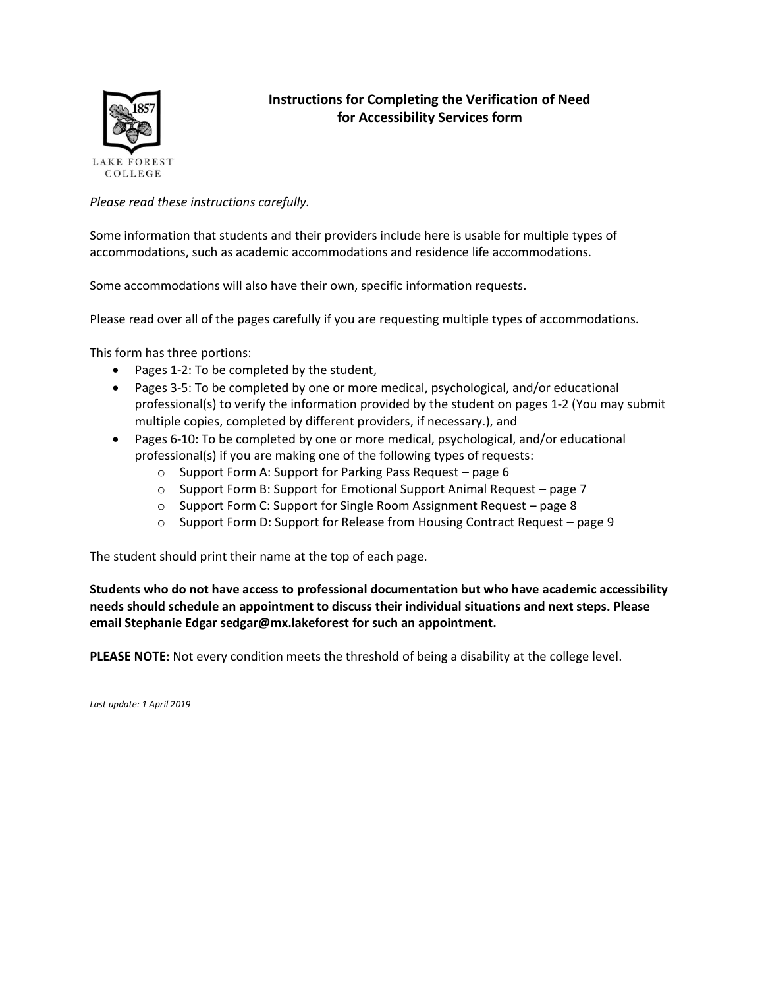

# **Instructions for Completing the Verification of Need for Accessibility Services form**

*Please read these instructions carefully.*

Some information that students and their providers include here is usable for multiple types of accommodations, such as academic accommodations and residence life accommodations.

Some accommodations will also have their own, specific information requests.

Please read over all of the pages carefully if you are requesting multiple types of accommodations.

This form has three portions:

- Pages 1-2: To be completed by the student,
- Pages 3-5: To be completed by one or more medical, psychological, and/or educational professional(s) to verify the information provided by the student on pages 1-2 (You may submit multiple copies, completed by different providers, if necessary.), and
- Pages 6-10: To be completed by one or more medical, psychological, and/or educational professional(s) if you are making one of the following types of requests:
	- o Support Form A: Support for Parking Pass Request page 6
	- o Support Form B: Support for Emotional Support Animal Request page 7
	- o Support Form C: Support for Single Room Assignment Request page 8
	- o Support Form D: Support for Release from Housing Contract Request page 9

The student should print their name at the top of each page.

**Students who do not have access to professional documentation but who have academic accessibility needs should schedule an appointment to discuss their individual situations and next steps. Please email Stephanie Edgar sedgar@mx.lakeforest for such an appointment.** 

**PLEASE NOTE:** Not every condition meets the threshold of being a disability at the college level.

*Last update: 1 April 2019*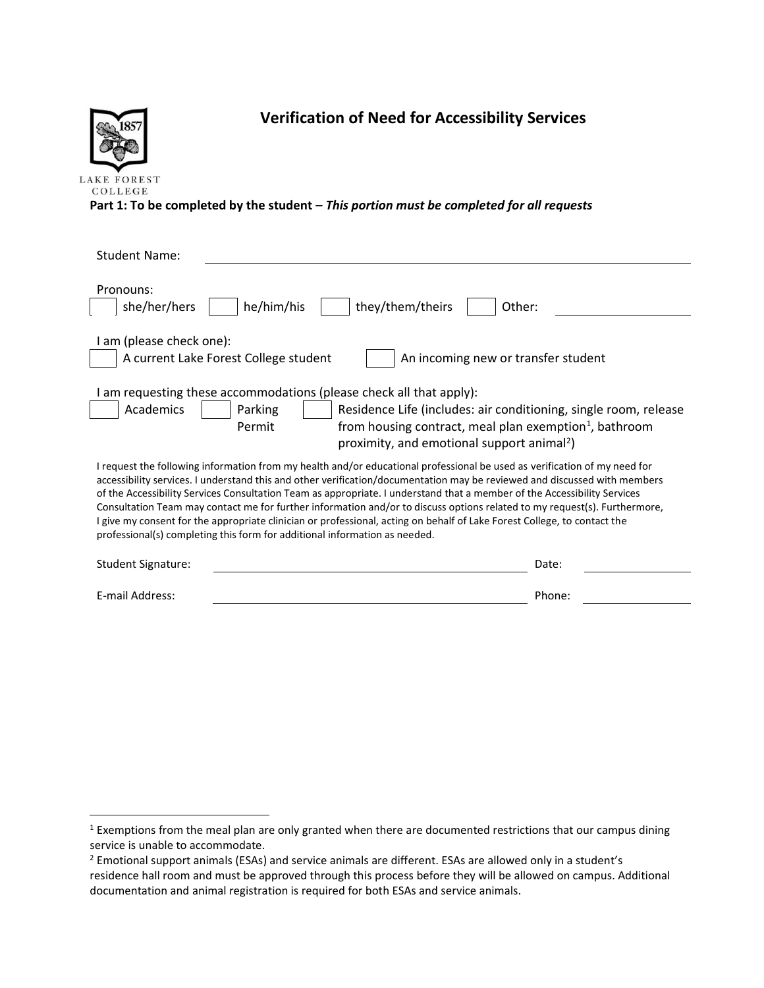

 $\overline{a}$ 

# **Verification of Need for Accessibility Services**

**Part 1: To be completed by the student –** *This portion must be completed for all requests*

| <b>Student Name:</b>                                                                                                                                                                                                                                                                                                                                                                                                                                                                                                                                                                                                                                                                                                      |        |  |
|---------------------------------------------------------------------------------------------------------------------------------------------------------------------------------------------------------------------------------------------------------------------------------------------------------------------------------------------------------------------------------------------------------------------------------------------------------------------------------------------------------------------------------------------------------------------------------------------------------------------------------------------------------------------------------------------------------------------------|--------|--|
| Pronouns:<br>he/him/his<br>they/them/theirs<br>she/her/hers<br>Other:                                                                                                                                                                                                                                                                                                                                                                                                                                                                                                                                                                                                                                                     |        |  |
| am (please check one):<br>A current Lake Forest College student<br>An incoming new or transfer student                                                                                                                                                                                                                                                                                                                                                                                                                                                                                                                                                                                                                    |        |  |
| am requesting these accommodations (please check all that apply):<br>Academics<br>Parking<br>Residence Life (includes: air conditioning, single room, release<br>Permit<br>from housing contract, meal plan exemption <sup>1</sup> , bathroom<br>proximity, and emotional support animal <sup>2</sup> )                                                                                                                                                                                                                                                                                                                                                                                                                   |        |  |
| I request the following information from my health and/or educational professional be used as verification of my need for<br>accessibility services. I understand this and other verification/documentation may be reviewed and discussed with members<br>of the Accessibility Services Consultation Team as appropriate. I understand that a member of the Accessibility Services<br>Consultation Team may contact me for further information and/or to discuss options related to my request(s). Furthermore,<br>I give my consent for the appropriate clinician or professional, acting on behalf of Lake Forest College, to contact the<br>professional(s) completing this form for additional information as needed. |        |  |
| <b>Student Signature:</b>                                                                                                                                                                                                                                                                                                                                                                                                                                                                                                                                                                                                                                                                                                 | Date:  |  |
| E-mail Address:                                                                                                                                                                                                                                                                                                                                                                                                                                                                                                                                                                                                                                                                                                           | Phone: |  |

<sup>&</sup>lt;sup>1</sup> Exemptions from the meal plan are only granted when there are documented restrictions that our campus dining service is unable to accommodate.

<sup>2</sup> Emotional support animals (ESAs) and service animals are different. ESAs are allowed only in a student's residence hall room and must be approved through this process before they will be allowed on campus. Additional documentation and animal registration is required for both ESAs and service animals.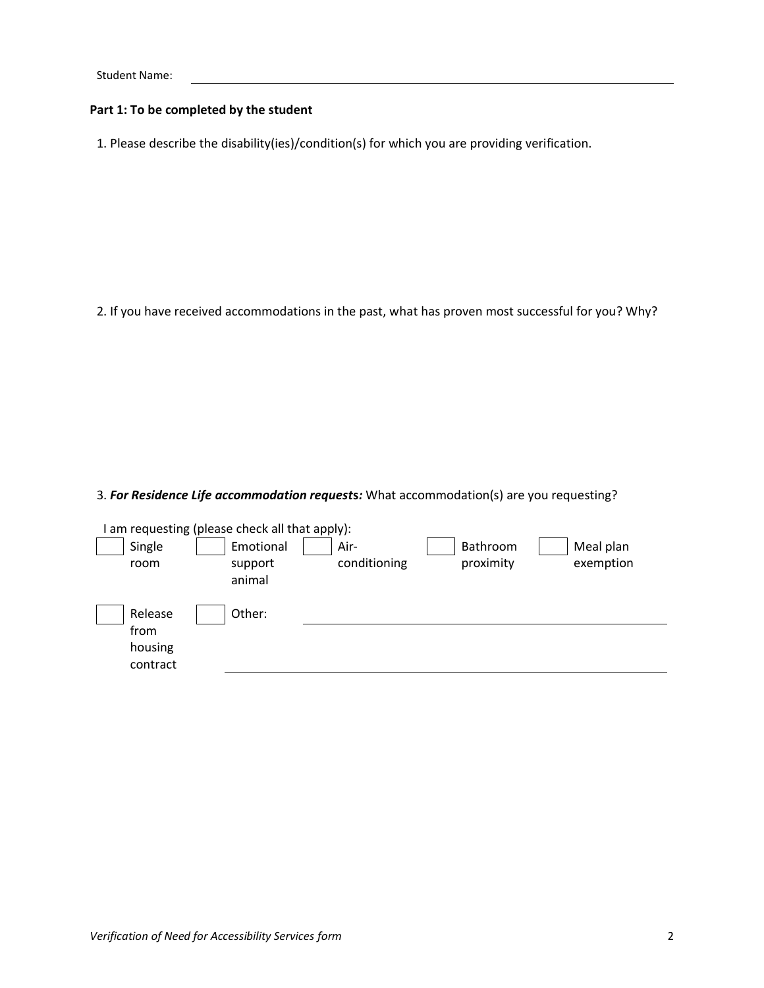## **Part 1: To be completed by the student**

1. Please describe the disability(ies)/condition(s) for which you are providing verification.

2. If you have received accommodations in the past, what has proven most successful for you? Why?

3. *For Residence Life accommodation request***s***:* What accommodation(s) are you requesting?

|                                        | am requesting (please check all that apply): |                      |                       |                        |
|----------------------------------------|----------------------------------------------|----------------------|-----------------------|------------------------|
| Single<br>room                         | Emotional<br>support<br>animal               | Air-<br>conditioning | Bathroom<br>proximity | Meal plan<br>exemption |
| Release<br>from<br>housing<br>contract | Other:                                       |                      |                       |                        |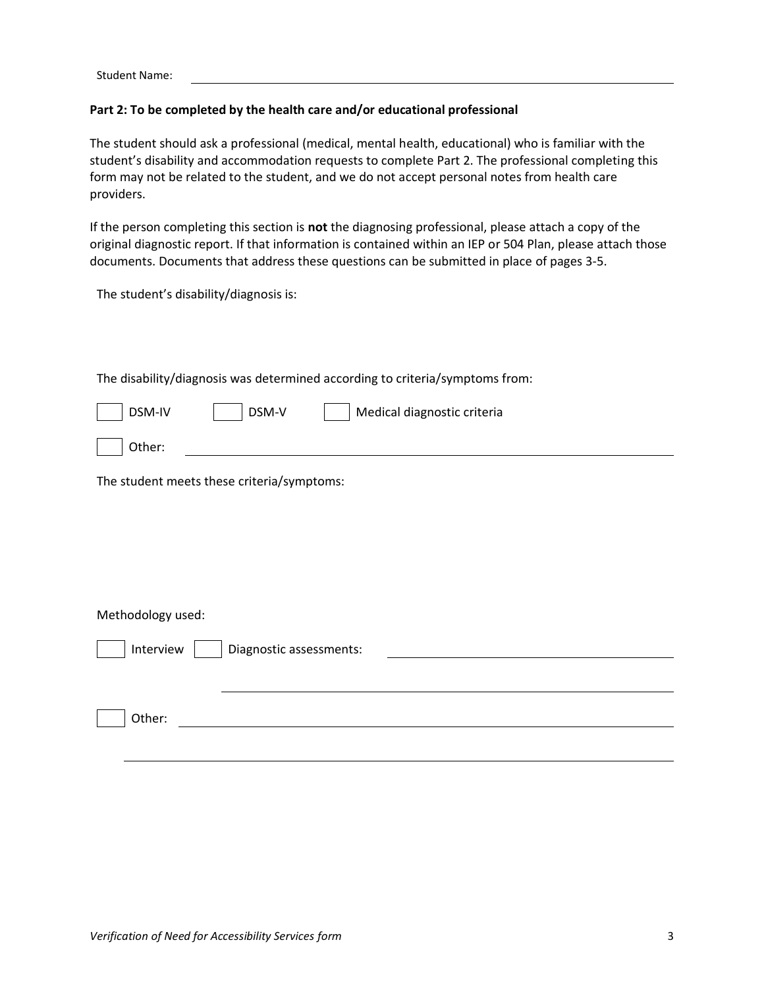# **Part 2: To be completed by the health care and/or educational professional**

The student should ask a professional (medical, mental health, educational) who is familiar with the student's disability and accommodation requests to complete Part 2. The professional completing this form may not be related to the student, and we do not accept personal notes from health care providers.

If the person completing this section is **not** the diagnosing professional, please attach a copy of the original diagnostic report. If that information is contained within an IEP or 504 Plan, please attach those documents. Documents that address these questions can be submitted in place of pages 3-5.

The student's disability/diagnosis is:

The disability/diagnosis was determined according to criteria/symptoms from:

| DSM-IV | DSM-V | Medical diagnostic criteria |  |
|--------|-------|-----------------------------|--|
| Other: |       |                             |  |

The student meets these criteria/symptoms:

#### Methodology used:

| Interview | Diagnostic assessments: |
|-----------|-------------------------|
|           |                         |
| Other:    |                         |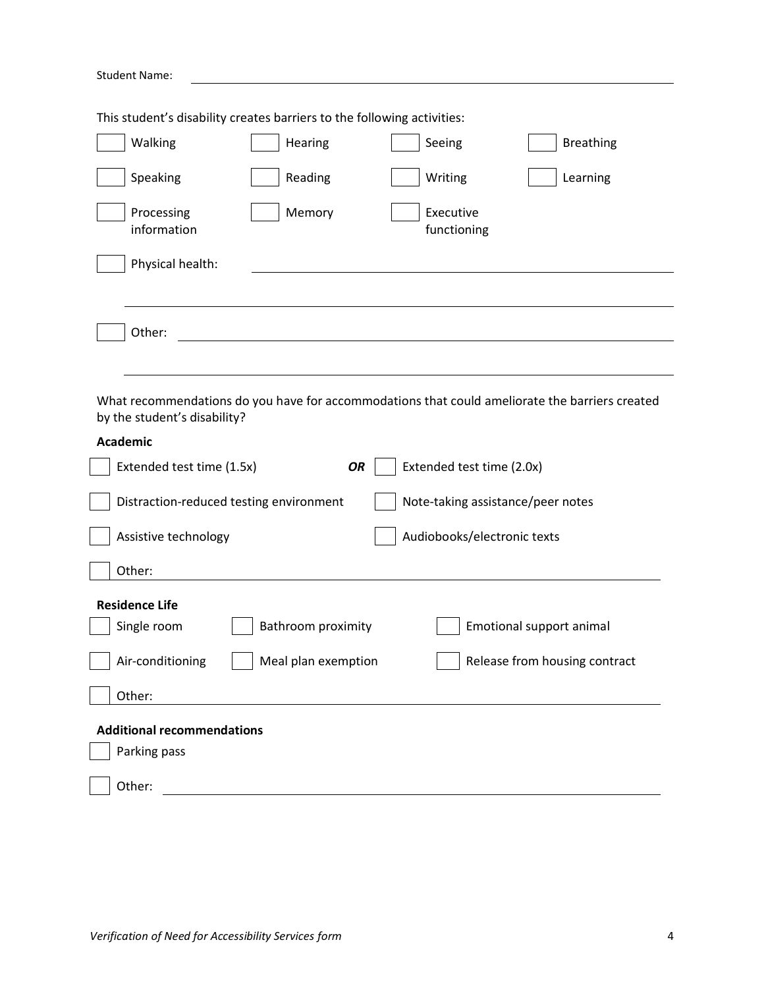| <b>Student Name:</b>                                                                                                           |
|--------------------------------------------------------------------------------------------------------------------------------|
| This student's disability creates barriers to the following activities:                                                        |
| Walking<br>Hearing<br>Seeing<br><b>Breathing</b>                                                                               |
| Speaking<br>Reading<br>Writing<br>Learning                                                                                     |
| Memory<br>Executive<br>Processing<br>information<br>functioning                                                                |
| Physical health:                                                                                                               |
|                                                                                                                                |
| Other:                                                                                                                         |
|                                                                                                                                |
| What recommendations do you have for accommodations that could ameliorate the barriers created<br>by the student's disability? |
| <b>Academic</b>                                                                                                                |
| Extended test time (1.5x)<br><b>OR</b><br>Extended test time (2.0x)                                                            |
| Distraction-reduced testing environment<br>Note-taking assistance/peer notes                                                   |
| Audiobooks/electronic texts<br>Assistive technology                                                                            |
| Other:                                                                                                                         |
| <b>Residence Life</b>                                                                                                          |
| Single room<br>Bathroom proximity<br>Emotional support animal                                                                  |
| Air-conditioning<br>Meal plan exemption<br>Release from housing contract                                                       |
| Other:                                                                                                                         |
| <b>Additional recommendations</b>                                                                                              |
| Parking pass                                                                                                                   |
| Other:                                                                                                                         |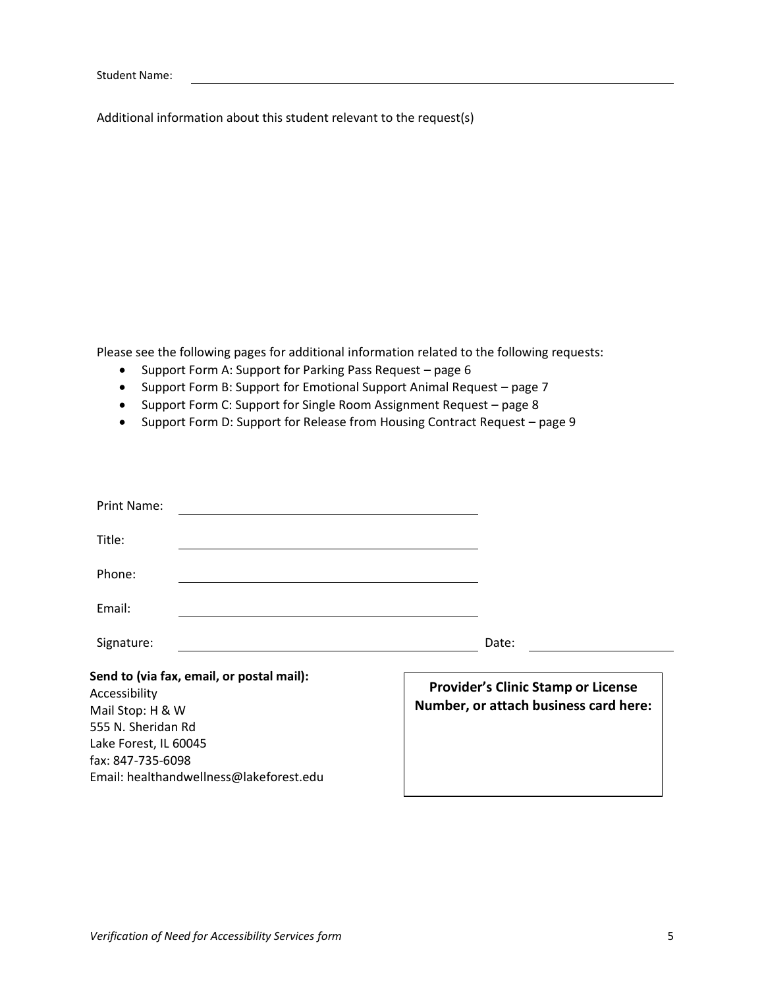Additional information about this student relevant to the request(s)

Please see the following pages for additional information related to the following requests:

- Support Form A: Support for Parking Pass Request page 6
- Support Form B: Support for Emotional Support Animal Request page 7
- Support Form C: Support for Single Room Assignment Request page 8
- Support Form D: Support for Release from Housing Contract Request page 9

| Print Name:                                                                                                                                                                                   |                                                                                    |
|-----------------------------------------------------------------------------------------------------------------------------------------------------------------------------------------------|------------------------------------------------------------------------------------|
| Title:                                                                                                                                                                                        |                                                                                    |
| Phone:                                                                                                                                                                                        |                                                                                    |
| Email:                                                                                                                                                                                        |                                                                                    |
| Signature:                                                                                                                                                                                    | Date:                                                                              |
| Send to (via fax, email, or postal mail):<br>Accessibility<br>Mail Stop: H & W<br>555 N. Sheridan Rd<br>Lake Forest, IL 60045<br>fax: 847-735-6098<br>Email: healthandwellness@lakeforest.edu | <b>Provider's Clinic Stamp or License</b><br>Number, or attach business card here: |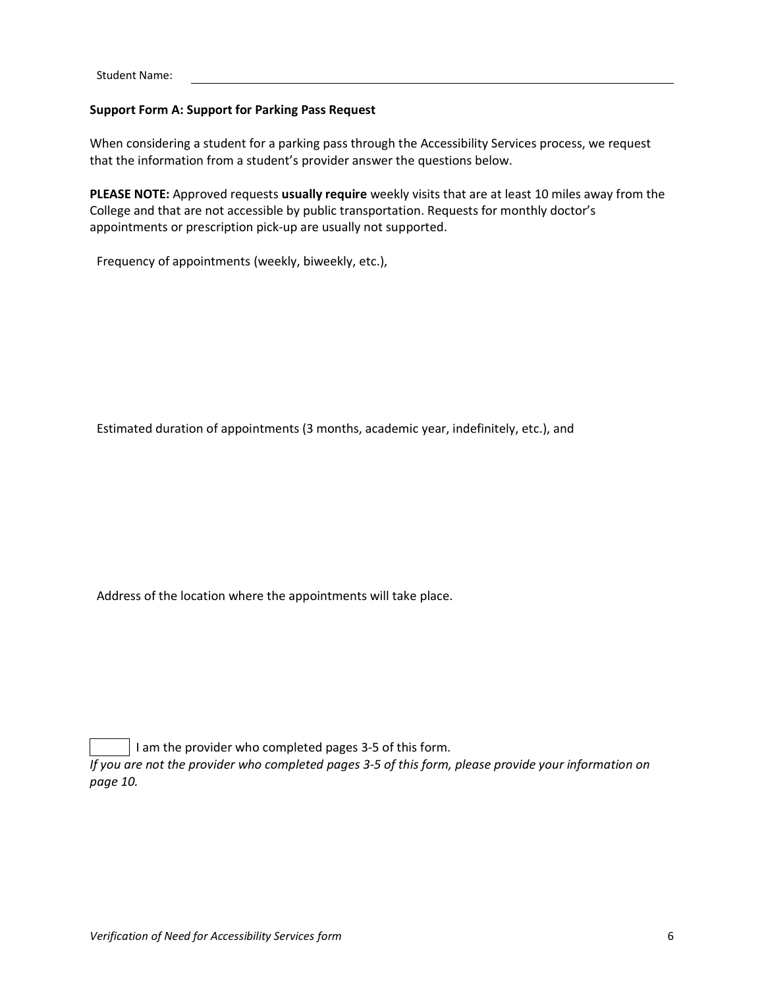#### **Support Form A: Support for Parking Pass Request**

When considering a student for a parking pass through the Accessibility Services process, we request that the information from a student's provider answer the questions below.

**PLEASE NOTE:** Approved requests **usually require** weekly visits that are at least 10 miles away from the College and that are not accessible by public transportation. Requests for monthly doctor's appointments or prescription pick-up are usually not supported.

Frequency of appointments (weekly, biweekly, etc.),

Estimated duration of appointments (3 months, academic year, indefinitely, etc.), and

Address of the location where the appointments will take place.

I am the provider who completed pages 3-5 of this form.

*If you are not the provider who completed pages 3-5 of this form, please provide your information on page 10.*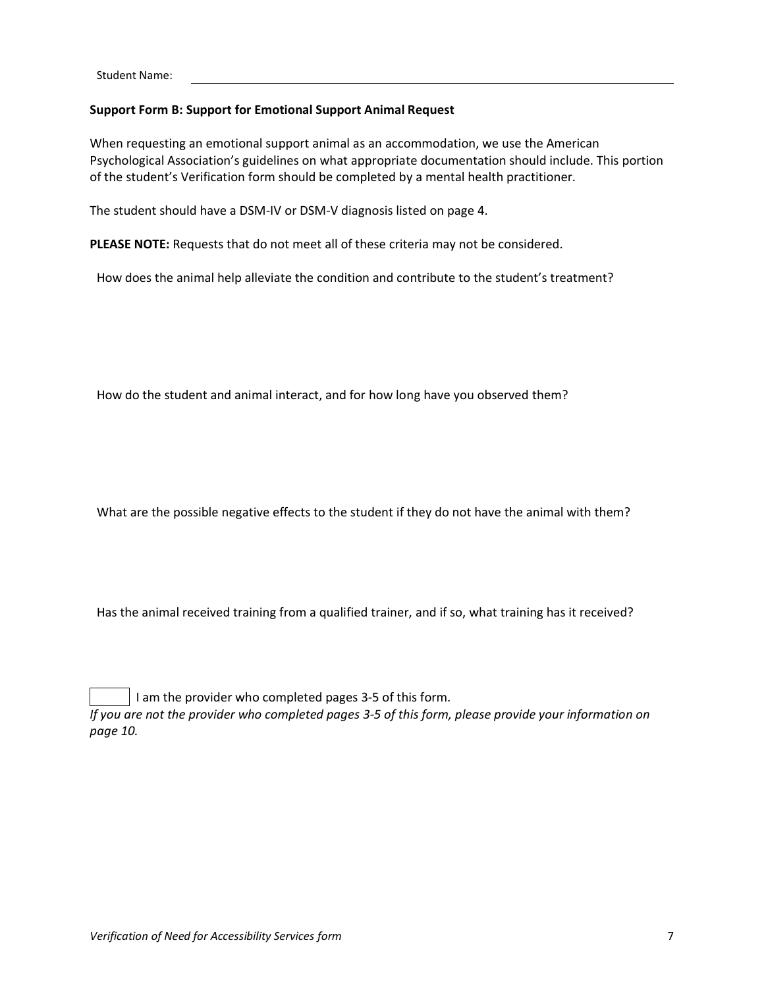# **Support Form B: Support for Emotional Support Animal Request**

When requesting an emotional support animal as an accommodation, we use the American Psychological Association's guidelines on what appropriate documentation should include. This portion of the student's Verification form should be completed by a mental health practitioner.

The student should have a DSM-IV or DSM-V diagnosis listed on page 4.

**PLEASE NOTE:** Requests that do not meet all of these criteria may not be considered.

How does the animal help alleviate the condition and contribute to the student's treatment?

How do the student and animal interact, and for how long have you observed them?

What are the possible negative effects to the student if they do not have the animal with them?

Has the animal received training from a qualified trainer, and if so, what training has it received?

I am the provider who completed pages 3-5 of this form. *If you are not the provider who completed pages 3-5 of this form, please provide your information on page 10.*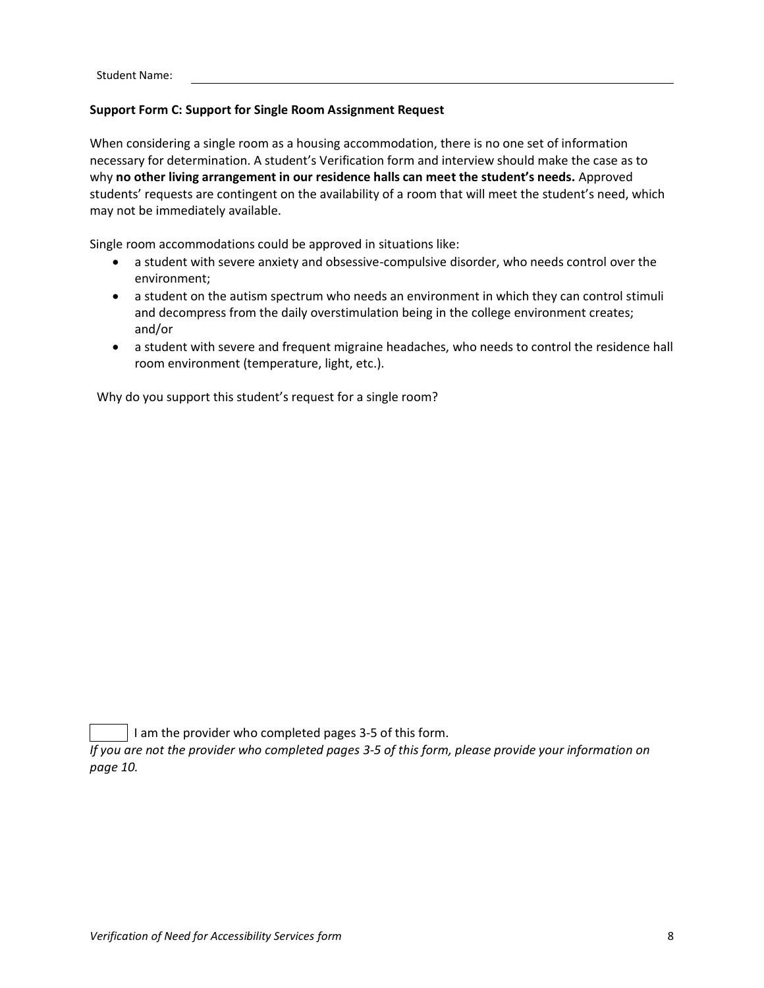# **Support Form C: Support for Single Room Assignment Request**

When considering a single room as a housing accommodation, there is no one set of information necessary for determination. A student's Verification form and interview should make the case as to why **no other living arrangement in our residence halls can meet the student's needs.** Approved students' requests are contingent on the availability of a room that will meet the student's need, which may not be immediately available.

Single room accommodations could be approved in situations like:

- a student with severe anxiety and obsessive-compulsive disorder, who needs control over the environment;
- a student on the autism spectrum who needs an environment in which they can control stimuli and decompress from the daily overstimulation being in the college environment creates; and/or
- a student with severe and frequent migraine headaches, who needs to control the residence hall room environment (temperature, light, etc.).

Why do you support this student's request for a single room?

I am the provider who completed pages 3-5 of this form.

*If you are not the provider who completed pages 3-5 of this form, please provide your information on page 10.*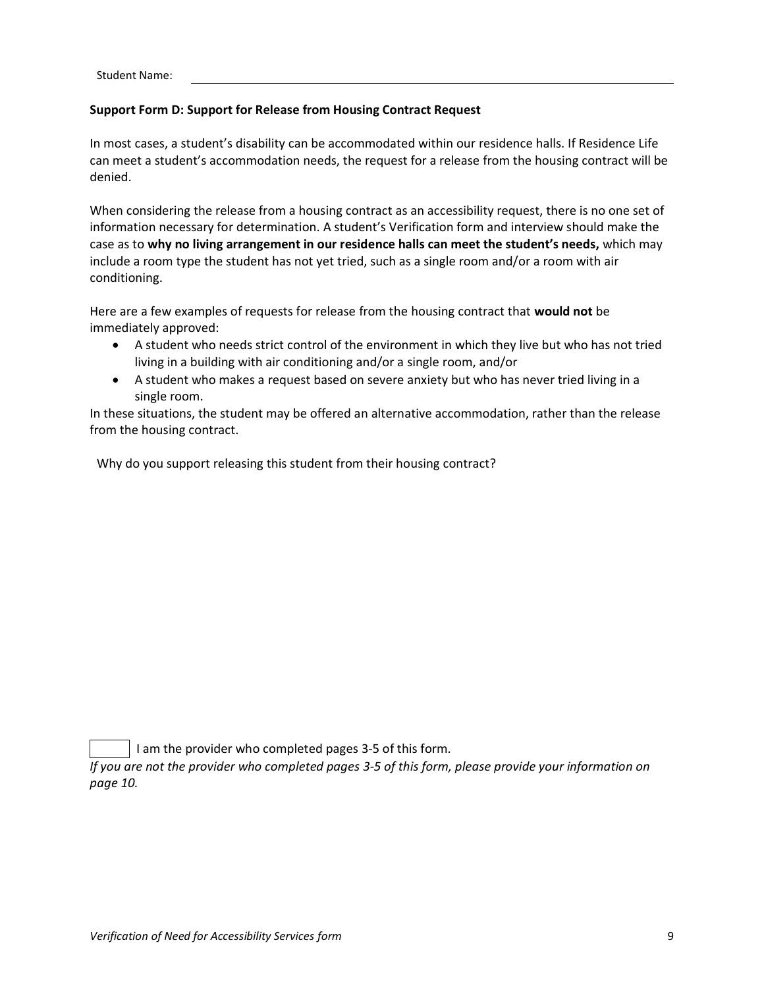# **Support Form D: Support for Release from Housing Contract Request**

In most cases, a student's disability can be accommodated within our residence halls. If Residence Life can meet a student's accommodation needs, the request for a release from the housing contract will be denied.

When considering the release from a housing contract as an accessibility request, there is no one set of information necessary for determination. A student's Verification form and interview should make the case as to **why no living arrangement in our residence halls can meet the student's needs,** which may include a room type the student has not yet tried, such as a single room and/or a room with air conditioning.

Here are a few examples of requests for release from the housing contract that **would not** be immediately approved:

- A student who needs strict control of the environment in which they live but who has not tried living in a building with air conditioning and/or a single room, and/or
- A student who makes a request based on severe anxiety but who has never tried living in a single room.

In these situations, the student may be offered an alternative accommodation, rather than the release from the housing contract.

Why do you support releasing this student from their housing contract?

I am the provider who completed pages 3-5 of this form.

*If you are not the provider who completed pages 3-5 of this form, please provide your information on page 10.*